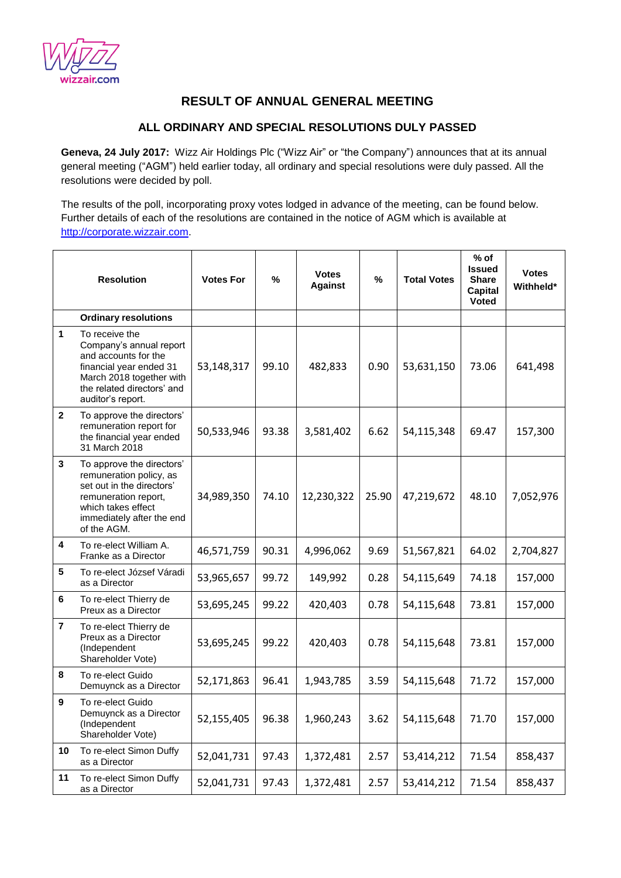

## **RESULT OF ANNUAL GENERAL MEETING**

## **ALL ORDINARY AND SPECIAL RESOLUTIONS DULY PASSED**

**Geneva, 24 July 2017:** Wizz Air Holdings Plc ("Wizz Air" or "the Company") announces that at its annual general meeting ("AGM") held earlier today, all ordinary and special resolutions were duly passed. All the resolutions were decided by poll.

The results of the poll, incorporating proxy votes lodged in advance of the meeting, can be found below. Further details of each of the resolutions are contained in the notice of AGM which is available at [http://corporate.wizzair.com.](http://corporate.wizzair.com/)

|                | <b>Resolution</b>                                                                                                                                                           | <b>Votes For</b> | %     | <b>Votes</b><br><b>Against</b> | $\%$  | <b>Total Votes</b> | $%$ of<br><b>Issued</b><br><b>Share</b><br>Capital<br><b>Voted</b> | <b>Votes</b><br>Withheld* |
|----------------|-----------------------------------------------------------------------------------------------------------------------------------------------------------------------------|------------------|-------|--------------------------------|-------|--------------------|--------------------------------------------------------------------|---------------------------|
|                | <b>Ordinary resolutions</b>                                                                                                                                                 |                  |       |                                |       |                    |                                                                    |                           |
| 1              | To receive the<br>Company's annual report<br>and accounts for the<br>financial year ended 31<br>March 2018 together with<br>the related directors' and<br>auditor's report. | 53,148,317       | 99.10 | 482,833                        | 0.90  | 53,631,150         | 73.06                                                              | 641,498                   |
| $\mathbf{2}$   | To approve the directors'<br>remuneration report for<br>the financial year ended<br>31 March 2018                                                                           | 50,533,946       | 93.38 | 3,581,402                      | 6.62  | 54,115,348         | 69.47                                                              | 157,300                   |
| 3              | To approve the directors'<br>remuneration policy, as<br>set out in the directors'<br>remuneration report,<br>which takes effect<br>immediately after the end<br>of the AGM. | 34,989,350       | 74.10 | 12,230,322                     | 25.90 | 47,219,672         | 48.10                                                              | 7,052,976                 |
| 4              | To re-elect William A.<br>Franke as a Director                                                                                                                              | 46,571,759       | 90.31 | 4,996,062                      | 9.69  | 51,567,821         | 64.02                                                              | 2,704,827                 |
| 5              | To re-elect József Váradi<br>as a Director                                                                                                                                  | 53,965,657       | 99.72 | 149,992                        | 0.28  | 54,115,649         | 74.18                                                              | 157,000                   |
| 6              | To re-elect Thierry de<br>Preux as a Director                                                                                                                               | 53,695,245       | 99.22 | 420,403                        | 0.78  | 54,115,648         | 73.81                                                              | 157,000                   |
| $\overline{7}$ | To re-elect Thierry de<br>Preux as a Director<br>(Independent<br>Shareholder Vote)                                                                                          | 53,695,245       | 99.22 | 420,403                        | 0.78  | 54,115,648         | 73.81                                                              | 157,000                   |
| 8              | To re-elect Guido<br>Demuynck as a Director                                                                                                                                 | 52,171,863       | 96.41 | 1,943,785                      | 3.59  | 54,115,648         | 71.72                                                              | 157,000                   |
| 9              | To re-elect Guido<br>Demuynck as a Director<br>(Independent<br>Shareholder Vote)                                                                                            | 52,155,405       | 96.38 | 1,960,243                      | 3.62  | 54,115,648         | 71.70                                                              | 157,000                   |
| 10             | To re-elect Simon Duffy<br>as a Director                                                                                                                                    | 52,041,731       | 97.43 | 1,372,481                      | 2.57  | 53,414,212         | 71.54                                                              | 858,437                   |
| 11             | To re-elect Simon Duffy<br>as a Director                                                                                                                                    | 52,041,731       | 97.43 | 1,372,481                      | 2.57  | 53,414,212         | 71.54                                                              | 858,437                   |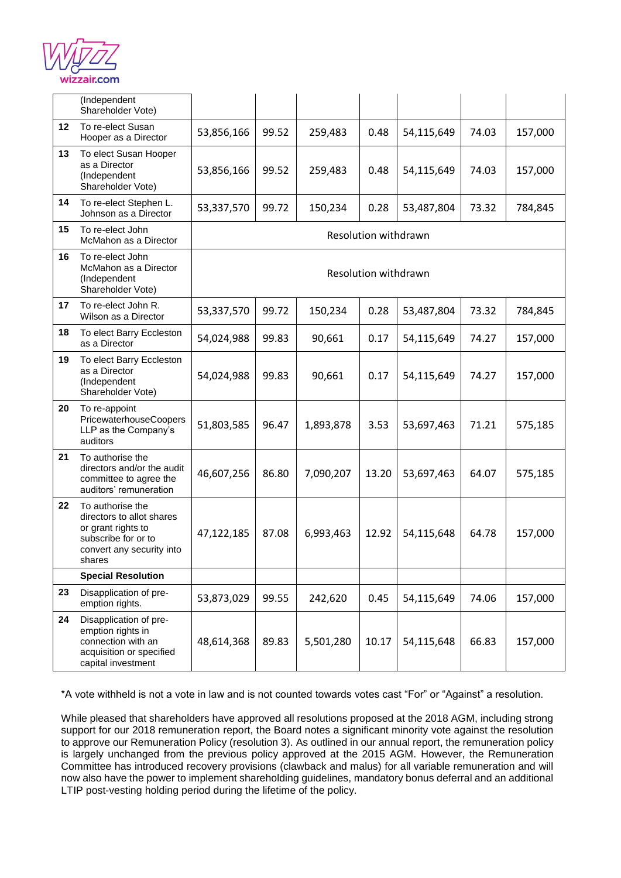

|    | (Independent<br>Shareholder Vote)                                                                                                 |                      |       |           |       |            |       |         |
|----|-----------------------------------------------------------------------------------------------------------------------------------|----------------------|-------|-----------|-------|------------|-------|---------|
| 12 | To re-elect Susan<br>Hooper as a Director                                                                                         | 53,856,166           | 99.52 | 259,483   | 0.48  | 54,115,649 | 74.03 | 157,000 |
| 13 | To elect Susan Hooper<br>as a Director<br>(Independent<br>Shareholder Vote)                                                       | 53,856,166           | 99.52 | 259,483   | 0.48  | 54,115,649 | 74.03 | 157,000 |
| 14 | To re-elect Stephen L.<br>Johnson as a Director                                                                                   | 53,337,570           | 99.72 | 150,234   | 0.28  | 53,487,804 | 73.32 | 784,845 |
| 15 | To re-elect John<br>McMahon as a Director                                                                                         | Resolution withdrawn |       |           |       |            |       |         |
| 16 | To re-elect John<br>McMahon as a Director<br>(Independent<br>Shareholder Vote)                                                    | Resolution withdrawn |       |           |       |            |       |         |
| 17 | To re-elect John R.<br>Wilson as a Director                                                                                       | 53,337,570           | 99.72 | 150,234   | 0.28  | 53,487,804 | 73.32 | 784,845 |
| 18 | To elect Barry Eccleston<br>as a Director                                                                                         | 54,024,988           | 99.83 | 90,661    | 0.17  | 54,115,649 | 74.27 | 157,000 |
| 19 | To elect Barry Eccleston<br>as a Director<br>(Independent<br>Shareholder Vote)                                                    | 54,024,988           | 99.83 | 90,661    | 0.17  | 54,115,649 | 74.27 | 157,000 |
| 20 | To re-appoint<br>PricewaterhouseCoopers<br>LLP as the Company's<br>auditors                                                       | 51,803,585           | 96.47 | 1,893,878 | 3.53  | 53,697,463 | 71.21 | 575,185 |
| 21 | To authorise the<br>directors and/or the audit<br>committee to agree the<br>auditors' remuneration                                | 46,607,256           | 86.80 | 7,090,207 | 13.20 | 53,697,463 | 64.07 | 575,185 |
| 22 | To authorise the<br>directors to allot shares<br>or grant rights to<br>subscribe for or to<br>convert any security into<br>shares | 47,122,185           | 87.08 | 6,993,463 | 12.92 | 54,115,648 | 64.78 | 157,000 |
|    | <b>Special Resolution</b>                                                                                                         |                      |       |           |       |            |       |         |
| 23 | Disapplication of pre-<br>emption rights.                                                                                         | 53,873,029           | 99.55 | 242,620   | 0.45  | 54,115,649 | 74.06 | 157,000 |
| 24 | Disapplication of pre-<br>emption rights in<br>connection with an<br>acquisition or specified<br>capital investment               | 48,614,368           | 89.83 | 5,501,280 | 10.17 | 54,115,648 | 66.83 | 157,000 |

\*A vote withheld is not a vote in law and is not counted towards votes cast "For" or "Against" a resolution.

While pleased that shareholders have approved all resolutions proposed at the 2018 AGM, including strong support for our 2018 remuneration report, the Board notes a significant minority vote against the resolution to approve our Remuneration Policy (resolution 3). As outlined in our annual report, the remuneration policy is largely unchanged from the previous policy approved at the 2015 AGM. However, the Remuneration Committee has introduced recovery provisions (clawback and malus) for all variable remuneration and will now also have the power to implement shareholding guidelines, mandatory bonus deferral and an additional LTIP post-vesting holding period during the lifetime of the policy.